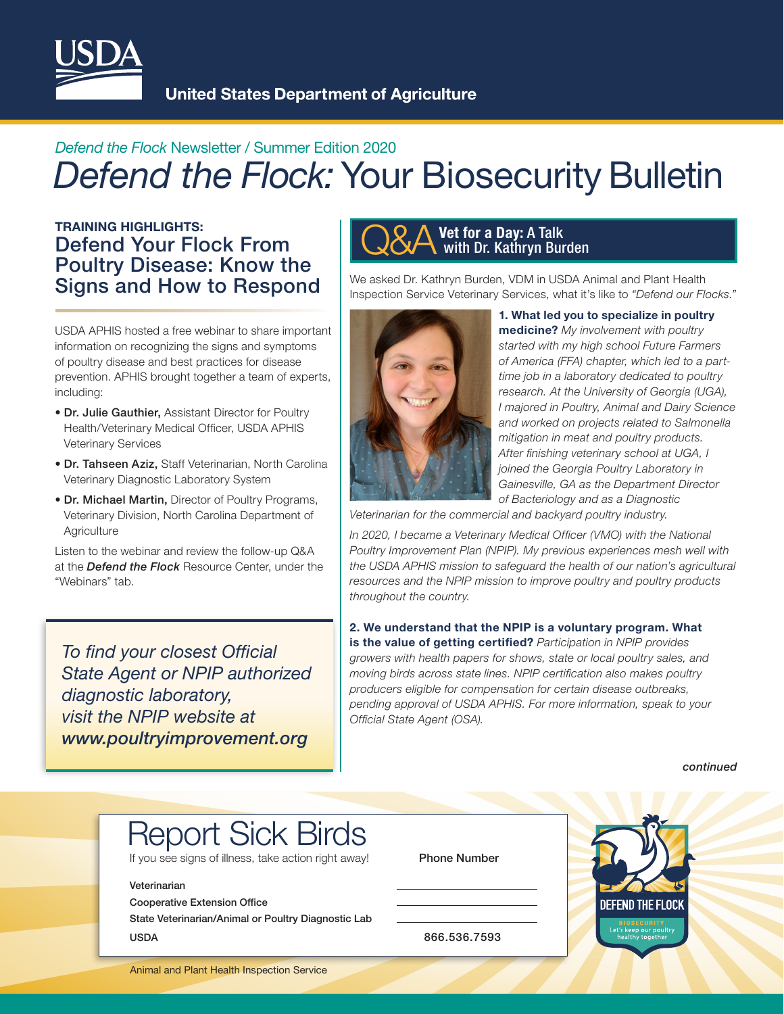

**United States Department of Agriculture** 

# *Defend the Flock* Newsletter / Summer Edition 2020 **Defend the Flock: Your Biosecurity Bulletin**

# TRAINING HIGHLIGHTS:<br>Defend Your Flock From New York Poultry Disease: Know the Signs and How to Respond

USDA APHIS hosted a free webinar to share important information on recognizing the signs and symptoms of poultry disease and best practices for disease prevention. APHIS brought together a team of experts, including:

- Dr. Julie Gauthier, Assistant Director for Poultry Health/Veterinary Medical Officer, USDA APHIS Veterinary Services
- Dr. Tahseen Aziz, Staff Veterinarian, North Carolina Veterinary Diagnostic Laboratory System
- Dr. Michael Martin, Director of Poultry Programs, Veterinary Division, North Carolina Department of **Agriculture**

Listen to the webinar and review the follow-up Q&A at the *Defend the Flock* Resource Center, under the "Webinars" tab.

*To find your closest Official State Agent or NPIP authorized diagnostic laboratory, visit the NPIP website at [www.poultryimprovement.org](http://www.poultryimprovement.org)*

### Vet for a Day: A Talk with Dr. Kathryn Burden

We asked Dr. Kathryn Burden, VDM in USDA Animal and Plant Health Inspection Service Veterinary Services, what it's like to *"Defend our Flocks."*



#### 1. What led you to specialize in poultry

medicine? *My involvement with poultry started with my high school Future Farmers of America (FFA) chapter, which led to a parttime job in a laboratory dedicated to poultry research. At the University of Georgia (UGA), I majored in Poultry, Animal and Dairy Science and worked on projects related to Salmonella mitigation in meat and poultry products. After finishing veterinary school at UGA, I joined the Georgia Poultry Laboratory in Gainesville, GA as the Department Director of Bacteriology and as a Diagnostic* 

*Veterinarian for the commercial and backyard poultry industry.* 

In 2020, I became a Veterinary Medical Officer (VMO) with the National *Poultry Improvement Plan (NPIP). My previous experiences mesh well with the USDA APHIS mission to safeguard the health of our nation's agricultural resources and the NPIP mission to improve poultry and poultry products throughout the country.*

2. We understand that the NPIP is a voluntary program. What is the value of getting certified? *Participation in NPIP provides growers with health papers for shows, state or local poultry sales, and moving birds across state lines. NPIP certification also makes poultry producers eligible for compensation for certain disease outbreaks, pending approval of USDA APHIS. For more information, speak to your Official State Agent (OSA).*

 *continued*

# Report Sick Birds

If you see signs of illness, take action right away! Phone Number

#### Veterinarian

Cooperative Extension Office

State Veterinarian/Animal or Poultry Diagnostic Lab USDA 866.536.7593



Animal and Plant Health Inspection Service